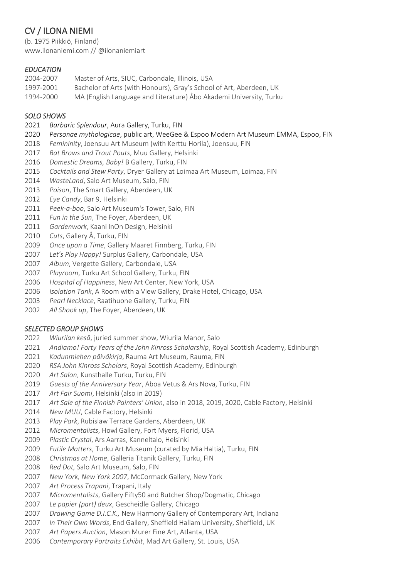# CV / ILONA NIEMI

(b. 1975 Piikkiö, Finland) www.ilonaniemi.com // @ilonaniemiart

## *EDUCATION*

| 2004-2007 | Master of Arts, SIUC, Carbondale, Illinois, USA                     |
|-----------|---------------------------------------------------------------------|
| 1997-2001 | Bachelor of Arts (with Honours), Gray's School of Art, Aberdeen, UK |
| 1994-2000 | MA (English Language and Literature) Åbo Akademi University, Turku  |

## *SOLO SHOWS*

- *Barbaric Splendour*, Aura Gallery, Turku, FIN
- *Personae mythologicae*, public art, WeeGee & Espoo Modern Art Museum EMMA, Espoo, FIN
- *Femininity*, Joensuu Art Museum (with Kerttu Horila), Joensuu, FIN
- *Bat Brows and Trout Pouts*, Muu Gallery, Helsinki
- *Domestic Dreams, Baby!* B Gallery, Turku, FIN
- *Cocktails and Stew Party*, Dryer Gallery at Loimaa Art Museum, Loimaa, FIN
- *WasteLand*, Salo Art Museum, Salo, FIN
- *Poison*, The Smart Gallery, Aberdeen, UK
- *Eye Candy*, Bar 9, Helsinki
- *Peek-a-boo*, Salo Art Museum's Tower, Salo, FIN
- *Fun in the Sun*, The Foyer, Aberdeen, UK
- *Gardenwork*, Kaani InOn Design, Helsinki
- *Cuts*, Gallery Å, Turku, FIN
- *Once upon a Time*, Gallery Maaret Finnberg, Turku, FIN
- *Let's Play Happy!* Surplus Gallery, Carbondale, USA
- *Album*, Vergette Gallery, Carbondale, USA
- *Playroom*, Turku Art School Gallery, Turku, FIN
- *Hospital of Happiness*, New Art Center, New York, USA
- *Isolation Tank*, A Room with a View Gallery, Drake Hotel, Chicago, USA
- *Pearl Necklace*, Raatihuone Gallery, Turku, FIN
- *All Shook up*, The Foyer, Aberdeen, UK

## *SELECTED GROUP SHOWS*

- *Wiurilan kesä*, juried summer show, Wiurila Manor, Salo
- *Andiamo! Forty Years of the John Kinross Scholarship*, Royal Scottish Academy, Edinburgh
- *Kadunmiehen päiväkirja*, Rauma Art Museum, Rauma, FIN
- *RSA John Kinross Scholars*, Royal Scottish Academy, Edinburgh
- *Art Salon*, Kunsthalle Turku, Turku, FIN
- *Guests of the Anniversary Year*, Aboa Vetus & Ars Nova, Turku, FIN
- *Art Fair Suomi*, Helsinki (also in 2019)
- *Art Sale of the Finnish Painters' Union*, also in 2018, 2019, 2020, Cable Factory, Helsinki
- *New MUU*, Cable Factory, Helsinki
- *Play Park*, Rubislaw Terrace Gardens, Aberdeen, UK
- *Micromentalists*, Howl Gallery, Fort Myers, Florid, USA
- *Plastic Crystal*, Ars Aarras, Kanneltalo, Helsinki
- *Futile Matters*, Turku Art Museum (curated by Mia Haltia), Turku, FIN
- *Christmas at Home*, Galleria Titanik Gallery, Turku, FIN
- *Red Dot,* Salo Art Museum, Salo, FIN
- *New York, New York 2007*, McCormack Gallery, New York
- *Art Process Trapani*, Trapani, Italy
- *Micromentalists*, Gallery Fifty50 and Butcher Shop/Dogmatic, Chicago
- *Le papier (part) deux*, Gescheidle Gallery, Chicago
- *Drawing Game D.I.C.K.,* New Harmony Gallery of Contemporary Art, Indiana
- *In Their Own Words*, End Gallery, Sheffield Hallam University, Sheffield, UK
- *Art Papers Auction*, Mason Murer Fine Art, Atlanta, USA
- *Contemporary Portraits Exhibit*, Mad Art Gallery, St. Louis, USA